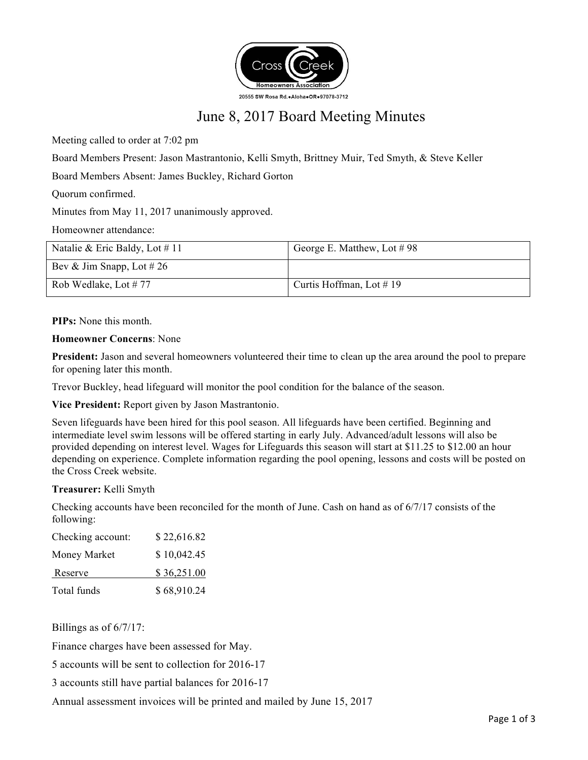

# June 8, 2017 Board Meeting Minutes

Meeting called to order at 7:02 pm

Board Members Present: Jason Mastrantonio, Kelli Smyth, Brittney Muir, Ted Smyth, & Steve Keller

Board Members Absent: James Buckley, Richard Gorton

Quorum confirmed.

Minutes from May 11, 2017 unanimously approved.

Homeowner attendance:

| Natalie & Eric Baldy, Lot $\#$ 11 | George E. Matthew, Lot #98  |
|-----------------------------------|-----------------------------|
| Bev & Jim Snapp, Lot # 26         |                             |
| Rob Wedlake, Lot $# 77$           | Curtis Hoffman, Lot $\#$ 19 |

**PIPs:** None this month.

#### **Homeowner Concerns**: None

**President:** Jason and several homeowners volunteered their time to clean up the area around the pool to prepare for opening later this month.

Trevor Buckley, head lifeguard will monitor the pool condition for the balance of the season.

**Vice President:** Report given by Jason Mastrantonio.

Seven lifeguards have been hired for this pool season. All lifeguards have been certified. Beginning and intermediate level swim lessons will be offered starting in early July. Advanced/adult lessons will also be provided depending on interest level. Wages for Lifeguards this season will start at \$11.25 to \$12.00 an hour depending on experience. Complete information regarding the pool opening, lessons and costs will be posted on the Cross Creek website.

# **Treasurer:** Kelli Smyth

Checking accounts have been reconciled for the month of June. Cash on hand as of 6/7/17 consists of the following:

| Checking account: | \$22,616.82 |
|-------------------|-------------|
| Money Market      | \$10,042.45 |
| Reserve           | \$36,251.00 |
| Total funds       | \$68,910.24 |

Billings as of 6/7/17:

Finance charges have been assessed for May.

5 accounts will be sent to collection for 2016-17

3 accounts still have partial balances for 2016-17

Annual assessment invoices will be printed and mailed by June 15, 2017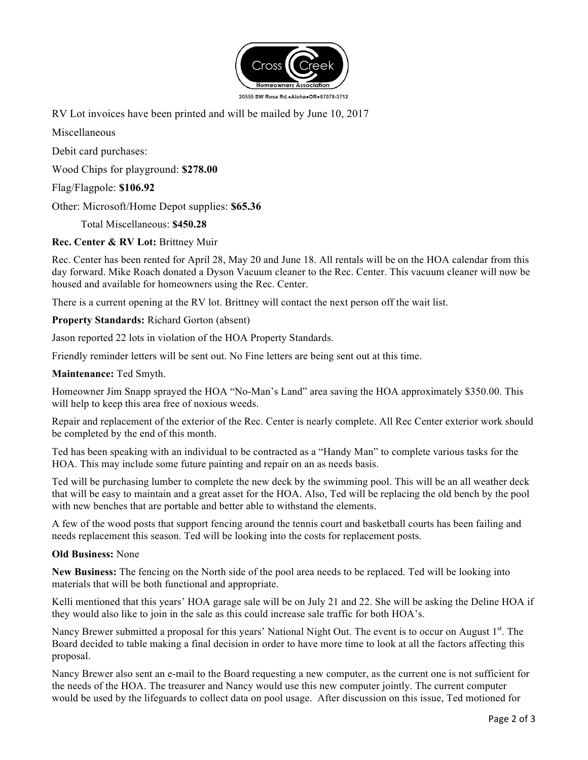

RV Lot invoices have been printed and will be mailed by June 10, 2017

Miscellaneous

Debit card purchases:

Wood Chips for playground: **\$278.00**

Flag/Flagpole: **\$106.92**

Other: Microsoft/Home Depot supplies: **\$65.36**

Total Miscellaneous: **\$450.28**

# **Rec. Center & RV Lot:** Brittney Muir

Rec. Center has been rented for April 28, May 20 and June 18. All rentals will be on the HOA calendar from this day forward. Mike Roach donated a Dyson Vacuum cleaner to the Rec. Center. This vacuum cleaner will now be housed and available for homeowners using the Rec. Center.

There is a current opening at the RV lot. Brittney will contact the next person off the wait list.

**Property Standards:** Richard Gorton (absent)

Jason reported 22 lots in violation of the HOA Property Standards.

Friendly reminder letters will be sent out. No Fine letters are being sent out at this time.

# **Maintenance:** Ted Smyth.

Homeowner Jim Snapp sprayed the HOA "No-Man's Land" area saving the HOA approximately \$350.00. This will help to keep this area free of noxious weeds.

Repair and replacement of the exterior of the Rec. Center is nearly complete. All Rec Center exterior work should be completed by the end of this month.

Ted has been speaking with an individual to be contracted as a "Handy Man" to complete various tasks for the HOA. This may include some future painting and repair on an as needs basis.

Ted will be purchasing lumber to complete the new deck by the swimming pool. This will be an all weather deck that will be easy to maintain and a great asset for the HOA. Also, Ted will be replacing the old bench by the pool with new benches that are portable and better able to withstand the elements.

A few of the wood posts that support fencing around the tennis court and basketball courts has been failing and needs replacement this season. Ted will be looking into the costs for replacement posts.

# **Old Business:** None

**New Business:** The fencing on the North side of the pool area needs to be replaced. Ted will be looking into materials that will be both functional and appropriate.

Kelli mentioned that this years' HOA garage sale will be on July 21 and 22. She will be asking the Deline HOA if they would also like to join in the sale as this could increase sale traffic for both HOA's.

Nancy Brewer submitted a proposal for this years' National Night Out. The event is to occur on August 1st. The Board decided to table making a final decision in order to have more time to look at all the factors affecting this proposal.

Nancy Brewer also sent an e-mail to the Board requesting a new computer, as the current one is not sufficient for the needs of the HOA. The treasurer and Nancy would use this new computer jointly. The current computer would be used by the lifeguards to collect data on pool usage. After discussion on this issue, Ted motioned for